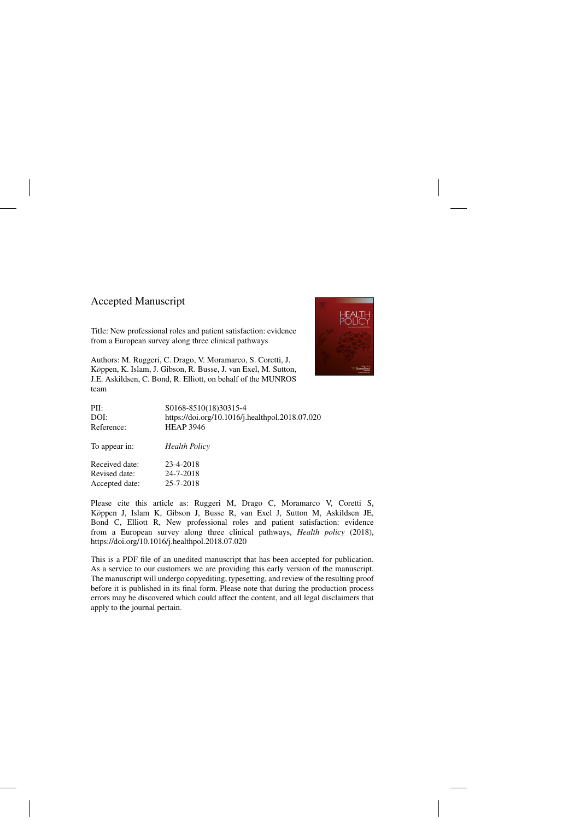## Accepted Manuscript

Title: New professional roles and patient satisfaction: evidence from a European survey along three clinical pathways

Authors: M. Ruggeri, C. Drago, V. Moramarco, S. Coretti, J. Köppen, K. Islam, J. Gibson, R. Busse, J. van Exel, M. Sutton, J.E. Askildsen, C. Bond, R. Elliott, on behalf of the MUNROS team



| PII:           | S0168-8510(18)30315-4                           |
|----------------|-------------------------------------------------|
| DOI:           | https://doi.org/10.1016/j.healthpol.2018.07.020 |
| Reference:     | <b>HEAP 3946</b>                                |
| To appear in:  | <b>Health Policy</b>                            |
| Received date: | 23-4-2018                                       |
| Revised date:  | 24-7-2018                                       |
| Accepted date: | 25-7-2018                                       |
|                |                                                 |

Please cite this article as: Ruggeri M, Drago C, Moramarco V, Coretti S, Köppen J, Islam K, Gibson J, Busse R, van Exel J, Sutton M, Askildsen JE, Bond C, Elliott R, New professional roles and patient satisfaction: evidence from a European survey along three clinical pathways, *Health policy* (2018), <https://doi.org/10.1016/j.healthpol.2018.07.020>

This is a PDF file of an unedited manuscript that has been accepted for publication. As a service to our customers we are providing this early version of the manuscript. The manuscript will undergo copyediting, typesetting, and review of the resulting proof before it is published in its final form. Please note that during the production process errors may be discovered which could affect the content, and all legal disclaimers that apply to the journal pertain.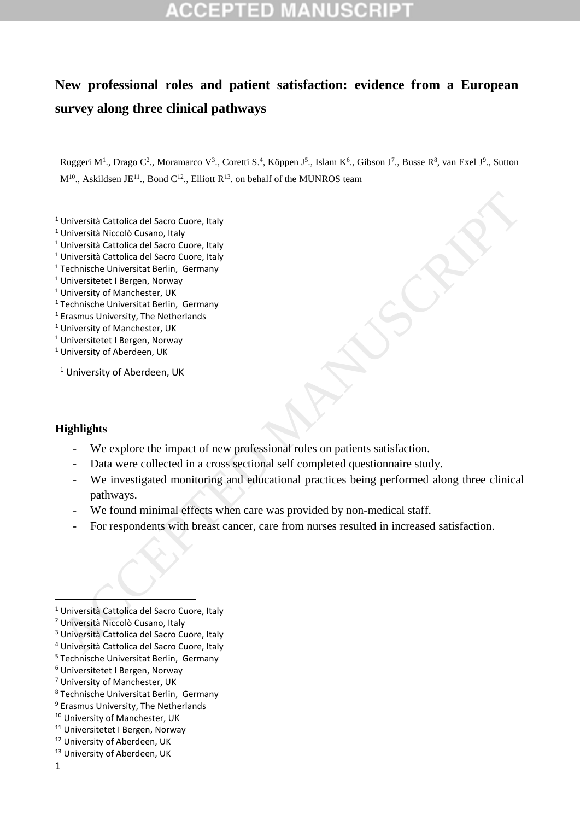# **New professional roles and patient satisfaction: evidence from a European survey along three clinical pathways**

Ruggeri M<sup>1</sup>., Drago C<sup>2</sup>., Moramarco V<sup>3</sup>., Coretti S.<sup>4</sup>, Köppen J<sup>5</sup>., Islam K<sup>6</sup>., Gibson J<sup>7</sup>., Busse R<sup>8</sup>, van Exel J<sup>9</sup>., Sutton  $M^{10}$ ., Askildsen JE<sup>11</sup>., Bond C<sup>12</sup>., Elliott R<sup>13</sup>. on behalf of the MUNROS team

- <sup>1</sup> Università Cattolica del Sacro Cuore, Italy
- <sup>1</sup> Università Niccolò Cusano, Italy
- <sup>1</sup> Università Cattolica del Sacro Cuore, Italy
- <sup>1</sup> Università Cattolica del Sacro Cuore, Italy
- <sup>1</sup> Technische Universitat Berlin, Germany
- <sup>1</sup> Universitetet I Bergen, Norway
- <sup>1</sup> University of Manchester, UK
- <sup>1</sup> Technische Universitat Berlin, Germany
- <sup>1</sup> Erasmus University, The Netherlands

<sup>1</sup> University of Manchester, UK

- <sup>1</sup> Universitetet I Bergen, Norway
- <sup>1</sup> University of Aberdeen, UK
- <sup>1</sup> University of Aberdeen, UK

## **Highlights**

- We explore the impact of new professional roles on patients satisfaction.
- Data were collected in a cross sectional self completed questionnaire study.
- We investigated monitoring and educational practices being performed along three clinical pathways. Università Cattolica del Sacro Cuore, Italy<br>
Università Cattolica del Sacro Cuore, Italy<br>
Università Cattolica del Sacro Cuore, Italy<br>
Università Cattolica del Sacro Cuore, Italy<br>
University of Manchester, UK<br>
University o
	- We found minimal effects when care was provided by non-medical staff.
	- For respondents with breast cancer, care from nurses resulted in increased satisfaction.
- <sup>4</sup> Università Cattolica del Sacro Cuore, Italy
- <sup>5</sup> Technische Universitat Berlin, Germany

- <sup>7</sup> University of Manchester, UK
- <sup>8</sup> Technische Universitat Berlin, Germany
- <sup>9</sup> Erasmus University, The Netherlands
- <sup>10</sup> University of Manchester, UK
- <sup>11</sup> Universitetet I Bergen, Norway
- <sup>12</sup> University of Aberdeen, UK
- <sup>13</sup> University of Aberdeen, UK

1

<sup>1</sup> Università Cattolica del Sacro Cuore, Italy

<sup>2</sup> Università Niccolò Cusano, Italy

<sup>3</sup> Università Cattolica del Sacro Cuore, Italy

<sup>6</sup> Universitetet I Bergen, Norway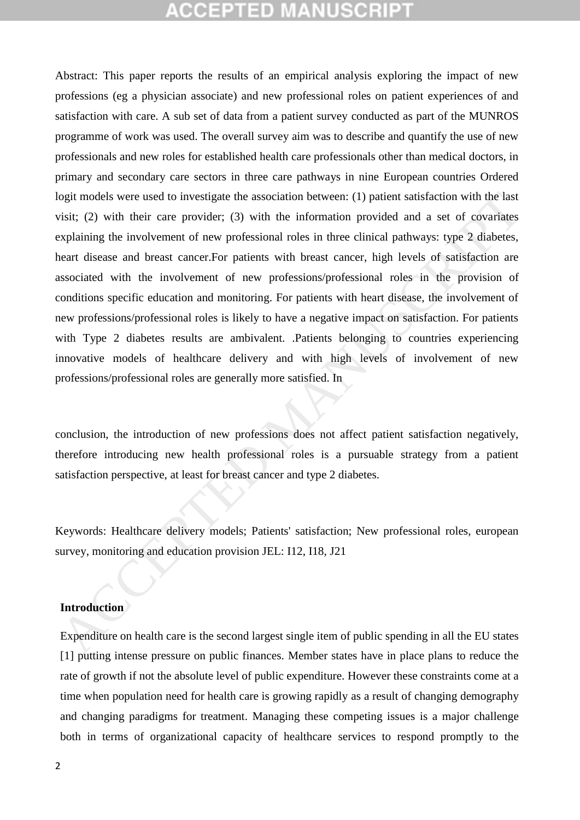# ICEPTED M

Abstract: This paper reports the results of an empirical analysis exploring the impact of new professions (eg a physician associate) and new professional roles on patient experiences of and satisfaction with care. A sub set of data from a patient survey conducted as part of the MUNROS programme of work was used. The overall survey aim was to describe and quantify the use of new professionals and new roles for established health care professionals other than medical doctors, in primary and secondary care sectors in three care pathways in nine European countries Ordered logit models were used to investigate the association between: (1) patient satisfaction with the last visit; (2) with their care provider; (3) with the information provided and a set of covariates explaining the involvement of new professional roles in three clinical pathways: type 2 diabetes, heart disease and breast cancer.For patients with breast cancer, high levels of satisfaction are associated with the involvement of new professions/professional roles in the provision of conditions specific education and monitoring. For patients with heart disease, the involvement of new professions/professional roles is likely to have a negative impact on satisfaction. For patients with Type 2 diabetes results are ambivalent. .Patients belonging to countries experiencing innovative models of healthcare delivery and with high levels of involvement of new professions/professional roles are generally more satisfied. In ogit models were used to investigate the association between: (1) patient satisfaction with the last<br>visit; (2) with their care provider; (3) with the information provided and a set of covariates<br>xyphaling the involvement

conclusion, the introduction of new professions does not affect patient satisfaction negatively, therefore introducing new health professional roles is a pursuable strategy from a patient satisfaction perspective, at least for breast cancer and type 2 diabetes.

Keywords: Healthcare delivery models; Patients' satisfaction; New professional roles, european survey, monitoring and education provision JEL: I12, I18, J21

## **Introduction**

Expenditure on health care is the second largest single item of public spending in all the EU states [1] putting intense pressure on public finances. Member states have in place plans to reduce the rate of growth if not the absolute level of public expenditure. However these constraints come at a time when population need for health care is growing rapidly as a result of changing demography and changing paradigms for treatment. Managing these competing issues is a major challenge both in terms of organizational capacity of healthcare services to respond promptly to the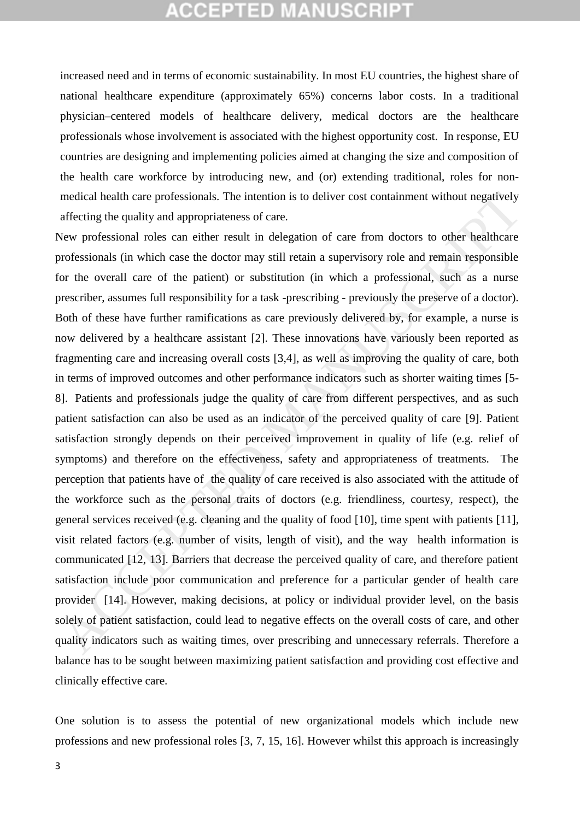increased need and in terms of economic sustainability. In most EU countries, the highest share of national healthcare expenditure (approximately 65%) concerns labor costs. In a traditional physician–centered models of healthcare delivery, medical doctors are the healthcare professionals whose involvement is associated with the highest opportunity cost. In response, EU countries are designing and implementing policies aimed at changing the size and composition of the health care workforce by introducing new, and (or) extending traditional, roles for nonmedical health care professionals. The intention is to deliver cost containment without negatively affecting the quality and appropriateness of care.

New professional roles can either result in delegation of care from doctors to other healthcare professionals (in which case the doctor may still retain a supervisory role and remain responsible for the overall care of the patient) or substitution (in which a professional, such as a nurse prescriber, assumes full responsibility for a task -prescribing - previously the preserve of a doctor). Both of these have further ramifications as care previously delivered by, for example, a nurse is now delivered by a healthcare assistant [2]. These innovations have variously been reported as fragmenting care and increasing overall costs [3,4], as well as improving the quality of care, both in terms of improved outcomes and other performance indicators such as shorter waiting times [5- 8]. Patients and professionals judge the quality of care from different perspectives, and as such patient satisfaction can also be used as an indicator of the perceived quality of care [9]. Patient satisfaction strongly depends on their perceived improvement in quality of life (e.g. relief of symptoms) and therefore on the effectiveness, safety and appropriateness of treatments. The perception that patients have of the quality of care received is also associated with the attitude of the workforce such as the personal traits of doctors (e.g. friendliness, courtesy, respect), the general services received (e.g. cleaning and the quality of food [10], time spent with patients [11], visit related factors (e.g. number of visits, length of visit), and the way health information is communicated [12, 13]. Barriers that decrease the perceived quality of care, and therefore patient satisfaction include poor communication and preference for a particular gender of health care provider [14]. However, making decisions, at policy or individual provider level, on the basis solely of patient satisfaction, could lead to negative effects on the overall costs of care, and other quality indicators such as waiting times, over prescribing and unnecessary referrals. Therefore a balance has to be sought between maximizing patient satisfaction and providing cost effective and clinically effective care. medical health care professionals. The intention is to deliver cost containment without negatively<br>affecting the quality and appropriateness of care.<br>
Here they foreskional relation of care from doctors to other healthcar

One solution is to assess the potential of new organizational models which include new professions and new professional roles [3, 7, 15, 16]. However whilst this approach is increasingly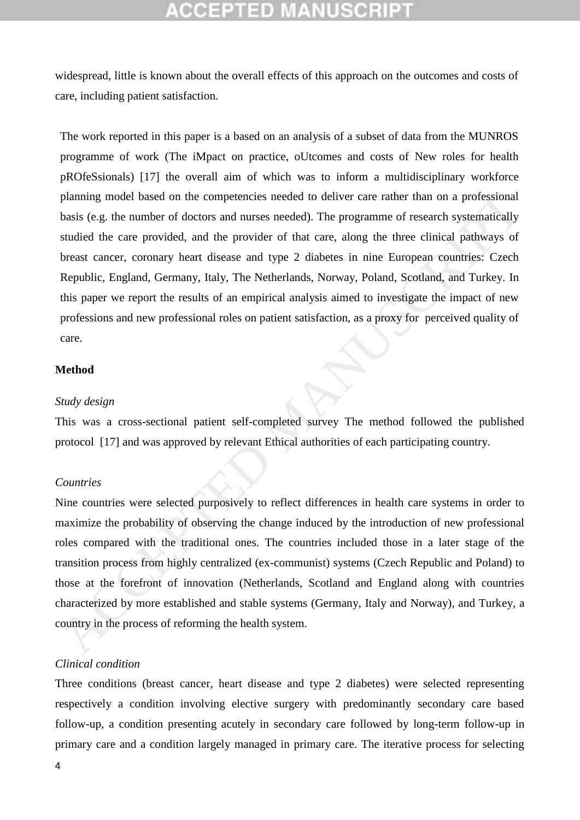widespread, little is known about the overall effects of this approach on the outcomes and costs of care, including patient satisfaction.

The work reported in this paper is a based on an analysis of a subset of data from the MUNROS programme of work (The iMpact on practice, oUtcomes and costs of New roles for health pROfeSsionals) [17] the overall aim of which was to inform a multidisciplinary workforce planning model based on the competencies needed to deliver care rather than on a professional basis (e.g. the number of doctors and nurses needed). The programme of research systematically studied the care provided, and the provider of that care, along the three clinical pathways of breast cancer, coronary heart disease and type 2 diabetes in nine European countries: Czech Republic, England, Germany, Italy, The Netherlands, Norway, Poland, Scotland, and Turkey. In this paper we report the results of an empirical analysis aimed to investigate the impact of new professions and new professional roles on patient satisfaction, as a proxy for perceived quality of care. planning model based on the competencies needed to deliver care rather than on a professional<br>basis (e.g. the number of doctors and nurses needed). The programme of research systematically<br>the studied the care provided, an

#### **Method**

#### *Study design*

This was a cross-sectional patient self-completed survey The method followed the published protocol [17] and was approved by relevant Ethical authorities of each participating country.

#### *Countries*

Nine countries were selected purposively to reflect differences in health care systems in order to maximize the probability of observing the change induced by the introduction of new professional roles compared with the traditional ones. The countries included those in a later stage of the transition process from highly centralized (ex-communist) systems (Czech Republic and Poland) to those at the forefront of innovation (Netherlands, Scotland and England along with countries characterized by more established and stable systems (Germany, Italy and Norway), and Turkey, a country in the process of reforming the health system.

## *Clinical condition*

Three conditions (breast cancer, heart disease and type 2 diabetes) were selected representing respectively a condition involving elective surgery with predominantly secondary care based follow-up, a condition presenting acutely in secondary care followed by long-term follow-up in primary care and a condition largely managed in primary care. The iterative process for selecting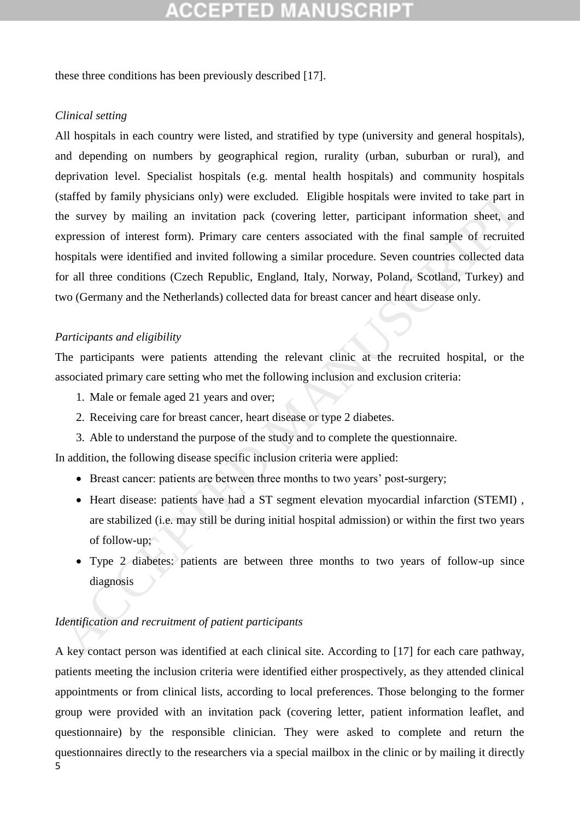these three conditions has been previously described [17].

#### *Clinical setting*

All hospitals in each country were listed, and stratified by type (university and general hospitals), and depending on numbers by geographical region, rurality (urban, suburban or rural), and deprivation level. Specialist hospitals (e.g. mental health hospitals) and community hospitals (staffed by family physicians only) were excluded. Eligible hospitals were invited to take part in the survey by mailing an invitation pack (covering letter, participant information sheet, and expression of interest form). Primary care centers associated with the final sample of recruited hospitals were identified and invited following a similar procedure. Seven countries collected data for all three conditions (Czech Republic, England, Italy, Norway, Poland, Scotland, Turkey) and two (Germany and the Netherlands) collected data for breast cancer and heart disease only. staffed by family physicians only) were excluded. Eligible hospitals were invited to take part in<br>
the survey by mailing an invitation pack (covering letter, participant information sheet, an<br>
xpression of interest form).

#### *Participants and eligibility*

The participants were patients attending the relevant clinic at the recruited hospital, or the associated primary care setting who met the following inclusion and exclusion criteria:

- 1. Male or female aged 21 years and over;
- 2. Receiving care for breast cancer, heart disease or type 2 diabetes.
- 3. Able to understand the purpose of the study and to complete the questionnaire.

In addition, the following disease specific inclusion criteria were applied:

- Breast cancer: patients are between three months to two years' post-surgery;
- Heart disease: patients have had a ST segment elevation myocardial infarction (STEMI), are stabilized (i.e. may still be during initial hospital admission) or within the first two years of follow-up;
- Type 2 diabetes: patients are between three months to two years of follow-up since diagnosis

## *Identification and recruitment of patient participants*

5 A key contact person was identified at each clinical site. According to [17] for each care pathway, patients meeting the inclusion criteria were identified either prospectively, as they attended clinical appointments or from clinical lists, according to local preferences. Those belonging to the former group were provided with an invitation pack (covering letter, patient information leaflet, and questionnaire) by the responsible clinician. They were asked to complete and return the questionnaires directly to the researchers via a special mailbox in the clinic or by mailing it directly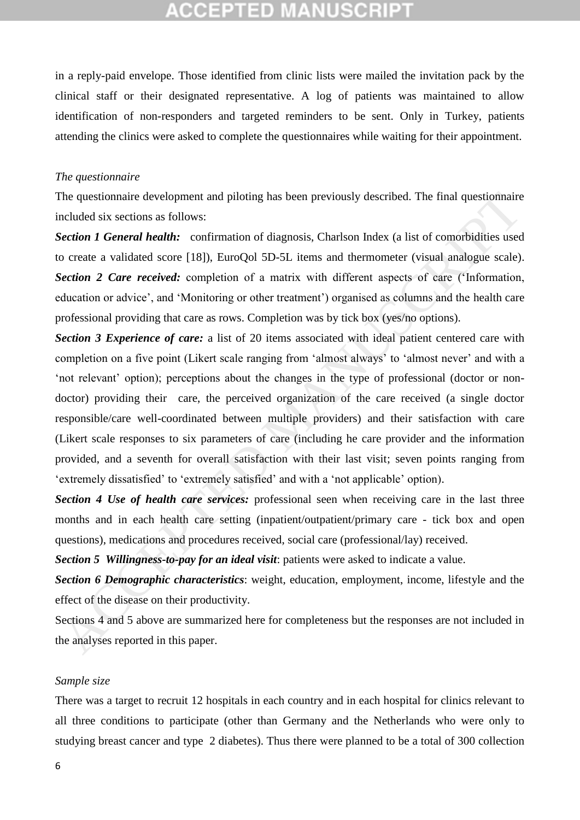in a reply-paid envelope. Those identified from clinic lists were mailed the invitation pack by the clinical staff or their designated representative. A log of patients was maintained to allow identification of non-responders and targeted reminders to be sent. Only in Turkey, patients attending the clinics were asked to complete the questionnaires while waiting for their appointment.

#### *The questionnaire*

The questionnaire development and piloting has been previously described. The final questionnaire included six sections as follows:

**Section 1 General health:** confirmation of diagnosis, Charlson Index (a list of comorbidities used to create a validated score [18]), EuroQol 5D-5L items and thermometer (visual analogue scale). *Section 2 Care received:* completion of a matrix with different aspects of care ('Information, education or advice', and 'Monitoring or other treatment') organised as columns and the health care professional providing that care as rows. Completion was by tick box (yes/no options).

*Section 3 Experience of care:* a list of 20 items associated with ideal patient centered care with completion on a five point (Likert scale ranging from 'almost always' to 'almost never' and with a 'not relevant' option); perceptions about the changes in the type of professional (doctor or nondoctor) providing their care, the perceived organization of the care received (a single doctor responsible/care well-coordinated between multiple providers) and their satisfaction with care (Likert scale responses to six parameters of care (including he care provider and the information provided, and a seventh for overall satisfaction with their last visit; seven points ranging from 'extremely dissatisfied' to 'extremely satisfied' and with a 'not applicable' option). The questionnaire development and piloting has been previously described. The final questionnaire<br>checked six sections as follows:<br>
Ficendar A General headily: confirmation of diagnosis, Charlson Index (a list of comorbid

*Section 4 Use of health care services:* professional seen when receiving care in the last three months and in each health care setting (inpatient/outpatient/primary care - tick box and open questions), medications and procedures received, social care (professional/lay) received.

*Section 5 Willingness-to-pay for an ideal visit*: patients were asked to indicate a value.

*Section 6 Demographic characteristics*: weight, education, employment, income, lifestyle and the effect of the disease on their productivity.

Sections 4 and 5 above are summarized here for completeness but the responses are not included in the analyses reported in this paper.

#### *Sample size*

There was a target to recruit 12 hospitals in each country and in each hospital for clinics relevant to all three conditions to participate (other than Germany and the Netherlands who were only to studying breast cancer and type 2 diabetes). Thus there were planned to be a total of 300 collection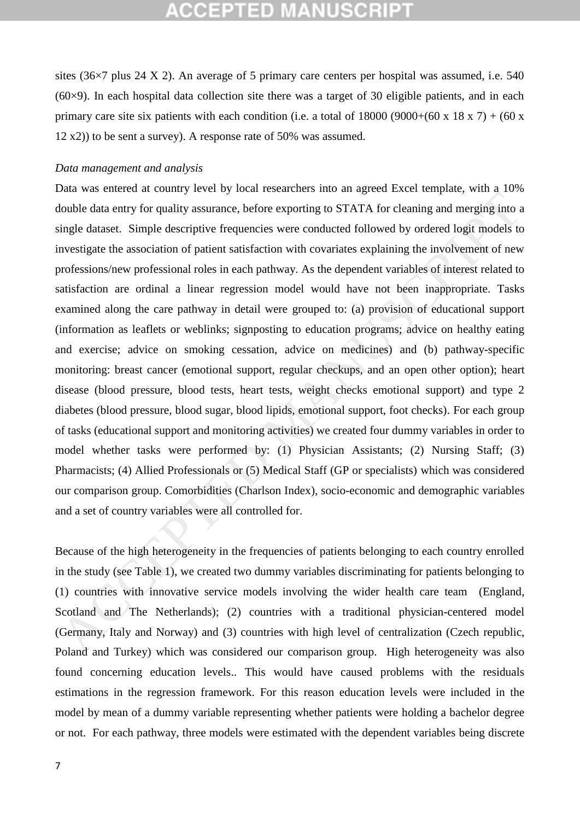sites (36×7 plus 24 X 2). An average of 5 primary care centers per hospital was assumed, i.e. 540  $(60\times9)$ . In each hospital data collection site there was a target of 30 eligible patients, and in each primary care site six patients with each condition (i.e. a total of  $18000 (9000+(60 \text{ x } 18 \text{ x } 7) + (60 \text{ x }$ ) 12 x2)) to be sent a survey). A response rate of 50% was assumed.

#### *Data management and analysis*

Data was entered at country level by local researchers into an agreed Excel template, with a 10% double data entry for quality assurance, before exporting to STATA for cleaning and merging into a single dataset. Simple descriptive frequencies were conducted followed by ordered logit models to investigate the association of patient satisfaction with covariates explaining the involvement of new professions/new professional roles in each pathway. As the dependent variables of interest related to satisfaction are ordinal a linear regression model would have not been inappropriate. Tasks examined along the care pathway in detail were grouped to: (a) provision of educational support (information as leaflets or weblinks; signposting to education programs; advice on healthy eating and exercise; advice on smoking cessation, advice on medicines) and (b) pathway-specific monitoring: breast cancer (emotional support, regular checkups, and an open other option); heart disease (blood pressure, blood tests, heart tests, weight checks emotional support) and type 2 diabetes (blood pressure, blood sugar, blood lipids, emotional support, foot checks). For each group of tasks (educational support and monitoring activities) we created four dummy variables in order to model whether tasks were performed by: (1) Physician Assistants; (2) Nursing Staff; (3) Pharmacists; (4) Allied Professionals or (5) Medical Staff (GP or specialists) which was considered our comparison group. Comorbidities (Charlson Index), socio-economic and demographic variables and a set of country variables were all controlled for. Ionble data entry for quality assurance, before exporting to STATA for cleaning and merging into a<br>touble data entry for quality assurance, before exporting to STATA for cleaning and merging into a<br>tingle dataset. Simple d

Because of the high heterogeneity in the frequencies of patients belonging to each country enrolled in the study (see Table 1), we created two dummy variables discriminating for patients belonging to (1) countries with innovative service models involving the wider health care team (England, Scotland and The Netherlands); (2) countries with a traditional physician-centered model (Germany, Italy and Norway) and (3) countries with high level of centralization (Czech republic, Poland and Turkey) which was considered our comparison group. High heterogeneity was also found concerning education levels.. This would have caused problems with the residuals estimations in the regression framework. For this reason education levels were included in the model by mean of a dummy variable representing whether patients were holding a bachelor degree or not. For each pathway, three models were estimated with the dependent variables being discrete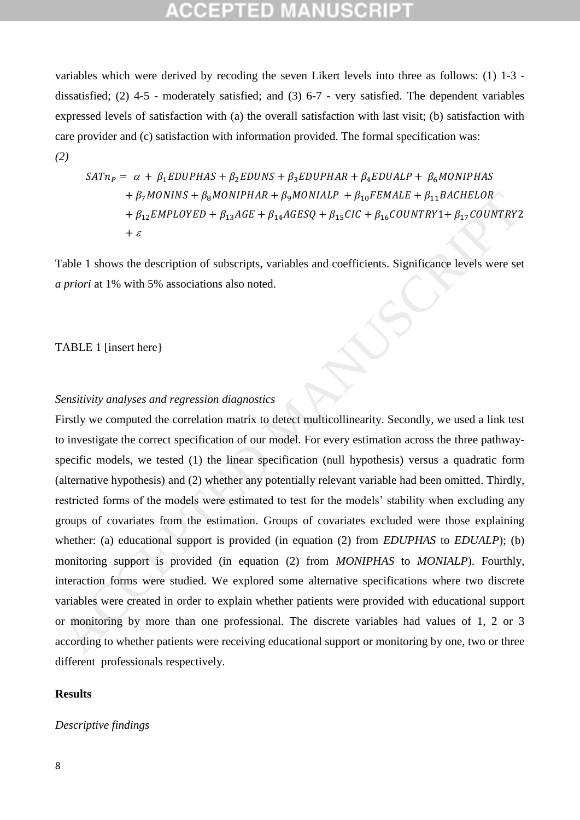variables which were derived by recoding the seven Likert levels into three as follows: (1) 1-3 dissatisfied; (2) 4-5 - moderately satisfied; and (3) 6-7 - very satisfied. The dependent variables expressed levels of satisfaction with (a) the overall satisfaction with last visit; (b) satisfaction with care provider and (c) satisfaction with information provided. The formal specification was: *(2)*

$$
SATn_P = \alpha + \beta_1 EDUPHAS + \beta_2 EDUNS + \beta_3 EDUP HAR + \beta_4 EDUALP + \beta_6 MONIPHAS
$$
  
+  $\beta_7 MONINS + \beta_8 MONIPHAR + \beta_9 MONIALP + \beta_{10} FEMALE + \beta_{11} BACHELOR$   
+  $\beta_{12} EMPLOYED + \beta_{13}AGE + \beta_{14} AGESQ + \beta_{15} CIC + \beta_{16} COUNTRY1 + \beta_{17} COUNTRY2$   
+  $\varepsilon$ 

Table 1 shows the description of subscripts, variables and coefficients. Significance levels were set *a priori* at 1% with 5% associations also noted.

#### TABLE 1 [insert here}

## *Sensitivity analyses and regression diagnostics*

Firstly we computed the correlation matrix to detect multicollinearity. Secondly, we used a link test to investigate the correct specification of our model. For every estimation across the three pathwayspecific models, we tested (1) the linear specification (null hypothesis) versus a quadratic form (alternative hypothesis) and (2) whether any potentially relevant variable had been omitted. Thirdly, restricted forms of the models were estimated to test for the models' stability when excluding any groups of covariates from the estimation. Groups of covariates excluded were those explaining whether: (a) educational support is provided (in equation (2) from *EDUPHAS* to *EDUALP*); (b) monitoring support is provided (in equation (2) from *MONIPHAS* to *MONIALP*). Fourthly, interaction forms were studied. We explored some alternative specifications where two discrete variables were created in order to explain whether patients were provided with educational support or monitoring by more than one professional. The discrete variables had values of 1, 2 or 3 according to whether patients were receiving educational support or monitoring by one, two or three different professionals respectively. +  $\beta$ ,  $MONINS + \beta$ ,  $MONIPHAR + \beta$ ,  $MONIIH + \beta$ ,  $\beta$   $\Gamma_{12}EEMELB + \beta$ ,  $\beta$   $\Delta CHESD$  +  $\beta_{12}ECHELB + \beta_{12}ECHELB + \beta_{12}ECHPLOVED + \beta_{22}AGE + \beta_{12}AGESB + \beta_{12}CGL + \beta_{12}CONNTRY1 + \beta_{22}CONNTRY2$ <br>
Table 1 shows the description of subscripts, varia

#### **Results**

#### *Descriptive findings*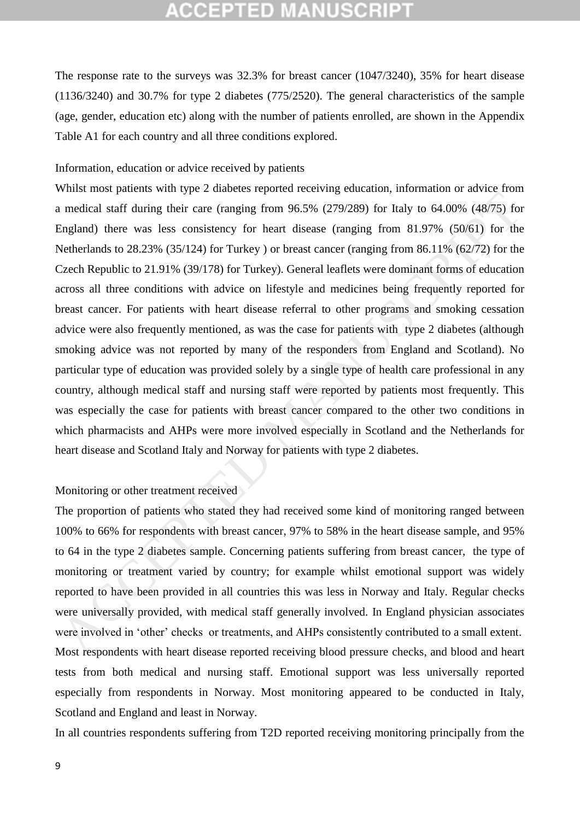The response rate to the surveys was 32.3% for breast cancer (1047/3240), 35% for heart disease (1136/3240) and 30.7% for type 2 diabetes (775/2520). The general characteristics of the sample (age, gender, education etc) along with the number of patients enrolled, are shown in the Appendix Table A1 for each country and all three conditions explored.

#### Information, education or advice received by patients

Whilst most patients with type 2 diabetes reported receiving education, information or advice from a medical staff during their care (ranging from 96.5% (279/289) for Italy to 64.00% (48/75) for England) there was less consistency for heart disease (ranging from 81.97% (50/61) for the Netherlands to 28.23% (35/124) for Turkey ) or breast cancer (ranging from 86.11% (62/72) for the Czech Republic to 21.91% (39/178) for Turkey). General leaflets were dominant forms of education across all three conditions with advice on lifestyle and medicines being frequently reported for breast cancer. For patients with heart disease referral to other programs and smoking cessation advice were also frequently mentioned, as was the case for patients with type 2 diabetes (although smoking advice was not reported by many of the responders from England and Scotland). No particular type of education was provided solely by a single type of health care professional in any country, although medical staff and nursing staff were reported by patients most frequently. This was especially the case for patients with breast cancer compared to the other two conditions in which pharmacists and AHPs were more involved especially in Scotland and the Netherlands for heart disease and Scotland Italy and Norway for patients with type 2 diabetes. In medical staff during their care (ranging from 96.5% (279/289) for Italy to 64.00% (48/75) for<br>England) there was less consistency for heart disease (ranging from 81.97% (50/61) for the<br>Schelands to 28.23% (35/124) for

#### Monitoring or other treatment received

The proportion of patients who stated they had received some kind of monitoring ranged between 100% to 66% for respondents with breast cancer, 97% to 58% in the heart disease sample, and 95% to 64 in the type 2 diabetes sample. Concerning patients suffering from breast cancer, the type of monitoring or treatment varied by country; for example whilst emotional support was widely reported to have been provided in all countries this was less in Norway and Italy. Regular checks were universally provided, with medical staff generally involved. In England physician associates were involved in 'other' checks or treatments, and AHPs consistently contributed to a small extent. Most respondents with heart disease reported receiving blood pressure checks, and blood and heart tests from both medical and nursing staff. Emotional support was less universally reported especially from respondents in Norway. Most monitoring appeared to be conducted in Italy, Scotland and England and least in Norway.

In all countries respondents suffering from T2D reported receiving monitoring principally from the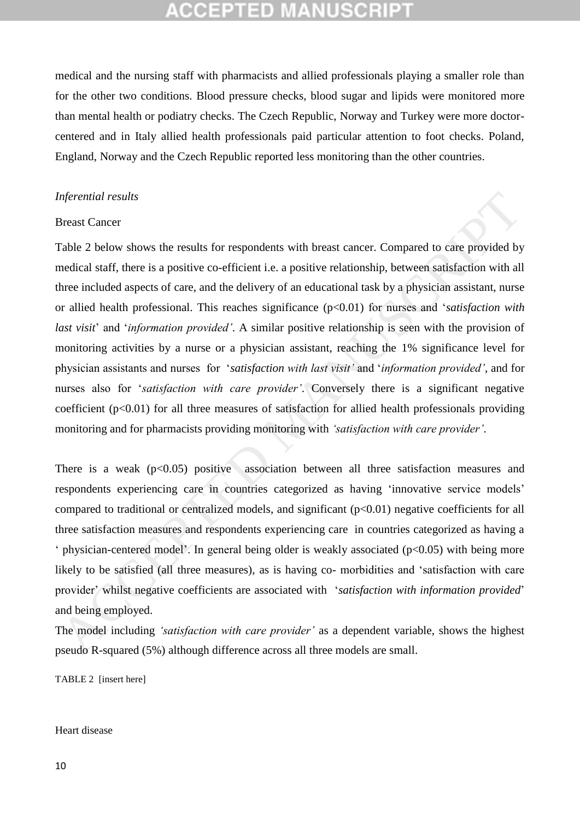# :СЕРТЕD М

medical and the nursing staff with pharmacists and allied professionals playing a smaller role than for the other two conditions. Blood pressure checks, blood sugar and lipids were monitored more than mental health or podiatry checks. The Czech Republic, Norway and Turkey were more doctorcentered and in Italy allied health professionals paid particular attention to foot checks. Poland, England, Norway and the Czech Republic reported less monitoring than the other countries.

#### *Inferential results*

#### Breast Cancer

Table 2 below shows the results for respondents with breast cancer. Compared to care provided by medical staff, there is a positive co-efficient i.e. a positive relationship, between satisfaction with all three included aspects of care, and the delivery of an educational task by a physician assistant, nurse or allied health professional. This reaches significance (p<0.01) for nurses and '*satisfaction with last visit*' and '*information provided'*. A similar positive relationship is seen with the provision of monitoring activities by a nurse or a physician assistant, reaching the 1% significance level for physician assistants and nurses for '*satisfaction with last visit'* and '*information provided'*, and for nurses also for '*satisfaction with care provider'*. Conversely there is a significant negative coefficient  $(p<0.01)$  for all three measures of satisfaction for allied health professionals providing monitoring and for pharmacists providing monitoring with *'satisfaction with care provider'*. Interestial results<br>accest Cancer<br>accest Cancer<br>accest Cancer<br>accest Cancer<br>accest Cancer<br>accest Cancer<br>accest Cancer<br>accest of care, and the delivery of an educational task by a physician assistant,<br>in the acceler of care

There is a weak  $(p<0.05)$  positive association between all three satisfaction measures and respondents experiencing care in countries categorized as having 'innovative service models' compared to traditional or centralized models, and significant  $(p<0.01)$  negative coefficients for all three satisfaction measures and respondents experiencing care in countries categorized as having a ' physician-centered model'. In general being older is weakly associated  $(p<0.05)$  with being more likely to be satisfied (all three measures), as is having co- morbidities and 'satisfaction with care provider' whilst negative coefficients are associated with '*satisfaction with information provided*' and being employed.

The model including *'satisfaction with care provider'* as a dependent variable, shows the highest pseudo R-squared (5%) although difference across all three models are small.

TABLE 2 [insert here]

Heart disease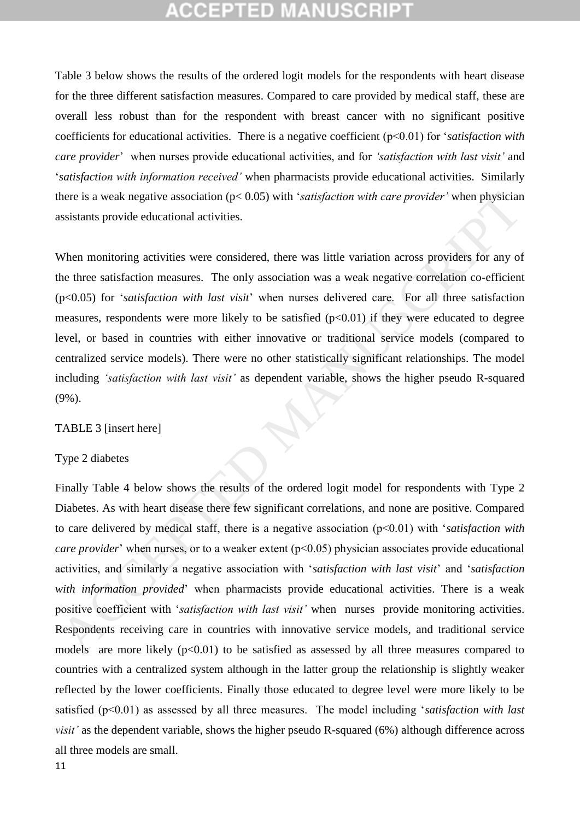Table 3 below shows the results of the ordered logit models for the respondents with heart disease for the three different satisfaction measures. Compared to care provided by medical staff, these are overall less robust than for the respondent with breast cancer with no significant positive coefficients for educational activities. There is a negative coefficient (p<0.01) for '*satisfaction with care provider*' when nurses provide educational activities, and for *'satisfaction with last visit'* and '*satisfaction with information received'* when pharmacists provide educational activities. Similarly there is a weak negative association (p< 0.05) with '*satisfaction with care provider'* when physician assistants provide educational activities.

When monitoring activities were considered, there was little variation across providers for any of the three satisfaction measures. The only association was a weak negative correlation co-efficient (p<0.05) for '*satisfaction with last visit*' when nurses delivered care. For all three satisfaction measures, respondents were more likely to be satisfied  $(p<0.01)$  if they were educated to degree level, or based in countries with either innovative or traditional service models (compared to centralized service models). There were no other statistically significant relationships. The model including *'satisfaction with last visit'* as dependent variable, shows the higher pseudo R-squared (9%).

#### TABLE 3 [insert here]

#### Type 2 diabetes

Finally Table 4 below shows the results of the ordered logit model for respondents with Type 2 Diabetes. As with heart disease there few significant correlations, and none are positive. Compared to care delivered by medical staff, there is a negative association (p<0.01) with '*satisfaction with care provider*' when nurses, or to a weaker extent (p<0.05) physician associates provide educational activities, and similarly a negative association with '*satisfaction with last visit*' and '*satisfaction with information provided*' when pharmacists provide educational activities. There is a weak positive coefficient with '*satisfaction with last visit'* when nurses provide monitoring activities. Respondents receiving care in countries with innovative service models, and traditional service models are more likely  $(p<0.01)$  to be satisfied as assessed by all three measures compared to countries with a centralized system although in the latter group the relationship is slightly weaker reflected by the lower coefficients. Finally those educated to degree level were more likely to be satisfied (p<0.01) as assessed by all three measures. The model including '*satisfaction with last visit'* as the dependent variable, shows the higher pseudo R-squared (6%) although difference across all three models are small. there is a weak negative association (pc 0.05) with *'satisfaction with care provider'* when physician<br>sistants provide educational activities.<br>When monitoring activities were considered, there was little variation across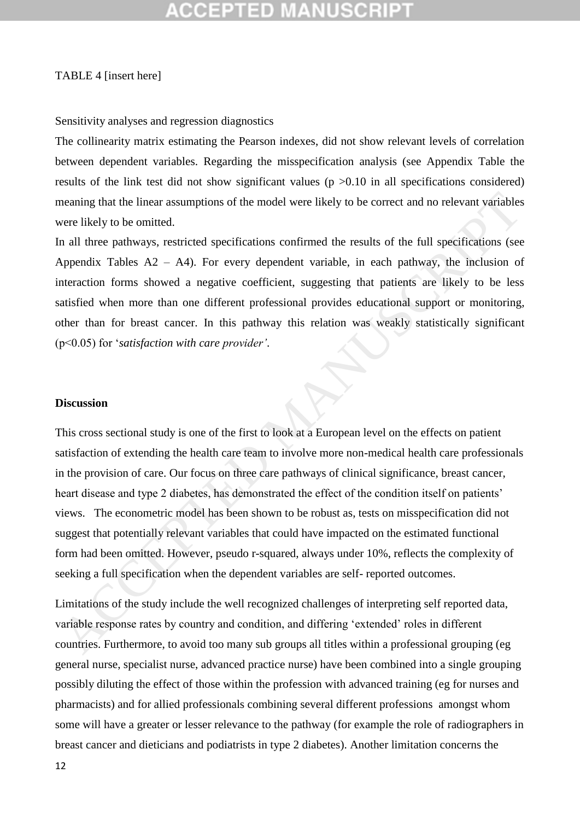# :GEPTED M

#### TABLE 4 [insert here]

#### Sensitivity analyses and regression diagnostics

The collinearity matrix estimating the Pearson indexes, did not show relevant levels of correlation between dependent variables. Regarding the misspecification analysis (see Appendix Table the results of the link test did not show significant values ( $p > 0.10$  in all specifications considered) meaning that the linear assumptions of the model were likely to be correct and no relevant variables were likely to be omitted.

In all three pathways, restricted specifications confirmed the results of the full specifications (see Appendix Tables  $A2 - A4$ ). For every dependent variable, in each pathway, the inclusion of interaction forms showed a negative coefficient, suggesting that patients are likely to be less satisfied when more than one different professional provides educational support or monitoring, other than for breast cancer. In this pathway this relation was weakly statistically significant (p<0.05) for '*satisfaction with care provider'*.

#### **Discussion**

This cross sectional study is one of the first to look at a European level on the effects on patient satisfaction of extending the health care team to involve more non-medical health care professionals in the provision of care. Our focus on three care pathways of clinical significance, breast cancer, heart disease and type 2 diabetes, has demonstrated the effect of the condition itself on patients' views. The econometric model has been shown to be robust as, tests on misspecification did not suggest that potentially relevant variables that could have impacted on the estimated functional form had been omitted. However, pseudo r-squared, always under 10%, reflects the complexity of seeking a full specification when the dependent variables are self- reported outcomes. meaning that the linear assumptions of the model were likely to be correct and no relevant variables<br>verte likely to be omitted.<br>The all three pathways, restricted specifications confirmed the results of the full specifica

Limitations of the study include the well recognized challenges of interpreting self reported data, variable response rates by country and condition, and differing 'extended' roles in different countries. Furthermore, to avoid too many sub groups all titles within a professional grouping (eg general nurse, specialist nurse, advanced practice nurse) have been combined into a single grouping possibly diluting the effect of those within the profession with advanced training (eg for nurses and pharmacists) and for allied professionals combining several different professions amongst whom some will have a greater or lesser relevance to the pathway (for example the role of radiographers in breast cancer and dieticians and podiatrists in type 2 diabetes). Another limitation concerns the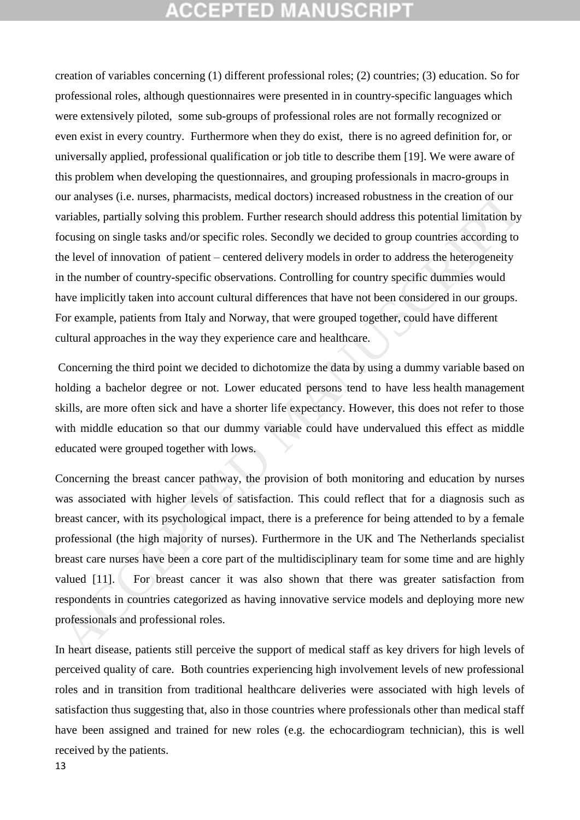creation of variables concerning (1) different professional roles; (2) countries; (3) education. So for professional roles, although questionnaires were presented in in country-specific languages which were extensively piloted, some sub-groups of professional roles are not formally recognized or even exist in every country. Furthermore when they do exist, there is no agreed definition for, or universally applied, professional qualification or job title to describe them [19]. We were aware of this problem when developing the questionnaires, and grouping professionals in macro-groups in our analyses (i.e. nurses, pharmacists, medical doctors) increased robustness in the creation of our variables, partially solving this problem. Further research should address this potential limitation by focusing on single tasks and/or specific roles. Secondly we decided to group countries according to the level of innovation of patient – centered delivery models in order to address the heterogeneity in the number of country-specific observations. Controlling for country specific dummies would have implicitly taken into account cultural differences that have not been considered in our groups. For example, patients from Italy and Norway, that were grouped together, could have different cultural approaches in the way they experience care and healthcare.

Concerning the third point we decided to dichotomize the data by using a dummy variable based on holding a bachelor degree or not. Lower educated persons tend to have less health management skills, are more often sick and have a shorter life expectancy. However, this does not refer to those with middle education so that our dummy variable could have undervalued this effect as middle educated were grouped together with lows.

Concerning the breast cancer pathway, the provision of both monitoring and education by nurses was associated with higher levels of satisfaction. This could reflect that for a diagnosis such as breast cancer, with its psychological impact, there is a preference for being attended to by a female professional (the high majority of nurses). Furthermore in the UK and The Netherlands specialist breast care nurses have been a core part of the multidisciplinary team for some time and are highly valued [11]. For breast cancer it was also shown that there was greater satisfaction from respondents in countries categorized as having innovative service models and deploying more new professionals and professional roles. our analyses (i.e. nurses, pharmacists, medical doctors) increased robustness in the creation of our variables, partially solving this probable. The research should address this potential limitation by consisting to moving

In heart disease, patients still perceive the support of medical staff as key drivers for high levels of perceived quality of care. Both countries experiencing high involvement levels of new professional roles and in transition from traditional healthcare deliveries were associated with high levels of satisfaction thus suggesting that, also in those countries where professionals other than medical staff have been assigned and trained for new roles (e.g. the echocardiogram technician), this is well received by the patients.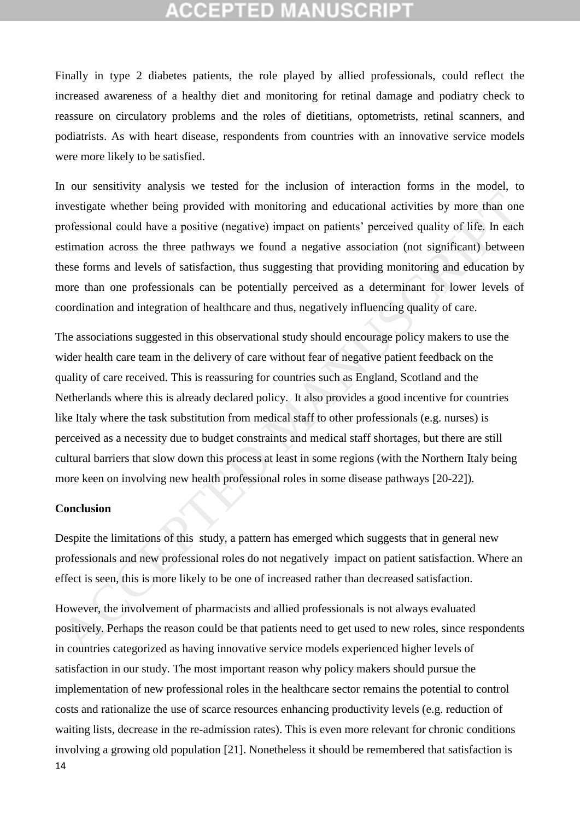Finally in type 2 diabetes patients, the role played by allied professionals, could reflect the increased awareness of a healthy diet and monitoring for retinal damage and podiatry check to reassure on circulatory problems and the roles of dietitians, optometrists, retinal scanners, and podiatrists. As with heart disease, respondents from countries with an innovative service models were more likely to be satisfied.

In our sensitivity analysis we tested for the inclusion of interaction forms in the model, to investigate whether being provided with monitoring and educational activities by more than one professional could have a positive (negative) impact on patients' perceived quality of life. In each estimation across the three pathways we found a negative association (not significant) between these forms and levels of satisfaction, thus suggesting that providing monitoring and education by more than one professionals can be potentially perceived as a determinant for lower levels of coordination and integration of healthcare and thus, negatively influencing quality of care.

The associations suggested in this observational study should encourage policy makers to use the wider health care team in the delivery of care without fear of negative patient feedback on the quality of care received. This is reassuring for countries such as England, Scotland and the Netherlands where this is already declared policy. It also provides a good incentive for countries like Italy where the task substitution from medical staff to other professionals (e.g. nurses) is perceived as a necessity due to budget constraints and medical staff shortages, but there are still cultural barriers that slow down this process at least in some regions (with the Northern Italy being more keen on involving new health professional roles in some disease pathways [20-22]). any and the proposition of this study, a pattern has emerged which and considerate and considered proposition and provided with monitoring and educational could have a positive (negative) impact on patients' perceived qual

#### **Conclusion**

Despite the limitations of this study, a pattern has emerged which suggests that in general new professionals and new professional roles do not negatively impact on patient satisfaction. Where an effect is seen, this is more likely to be one of increased rather than decreased satisfaction.

14 However, the involvement of pharmacists and allied professionals is not always evaluated positively. Perhaps the reason could be that patients need to get used to new roles, since respondents in countries categorized as having innovative service models experienced higher levels of satisfaction in our study. The most important reason why policy makers should pursue the implementation of new professional roles in the healthcare sector remains the potential to control costs and rationalize the use of scarce resources enhancing productivity levels (e.g. reduction of waiting lists, decrease in the re-admission rates). This is even more relevant for chronic conditions involving a growing old population [21]. Nonetheless it should be remembered that satisfaction is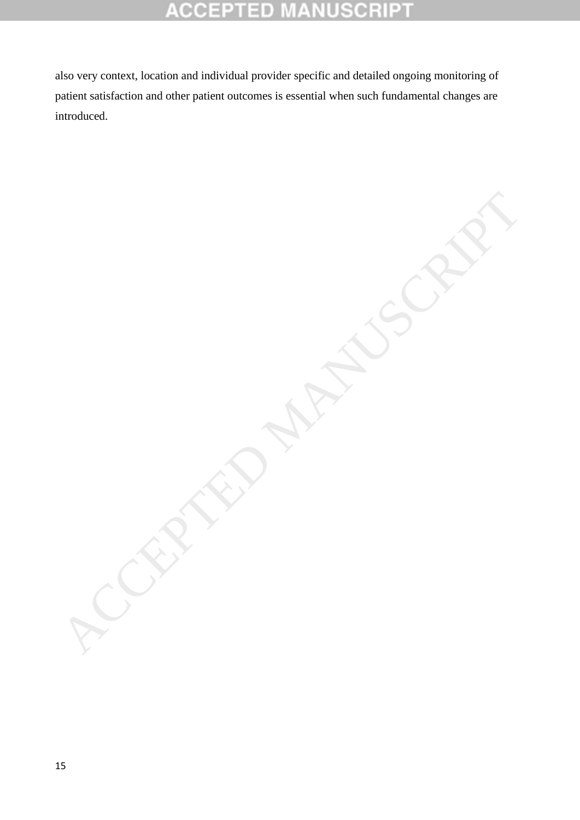#### 10 Ė 0 10  $\mathbb{C}$

also very context, location and individual provider specific and detailed ongoing monitoring of patient satisfaction and other patient outcomes is essential when such fundamental changes are introduced.

ACCEPTED MANUSCRIPT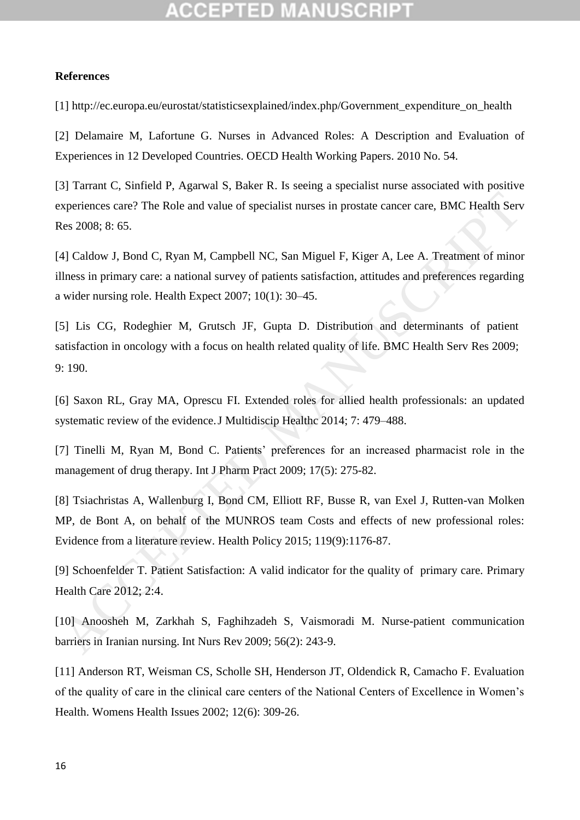## **References**

[1] http://ec.europa.eu/eurostat/statisticsexplained/index.php/Government\_expenditure\_on\_health

[2] Delamaire M, Lafortune G. Nurses in Advanced Roles: A Description and Evaluation of Experiences in 12 Developed Countries. OECD Health Working Papers. 2010 No. 54.

[3] Tarrant C, Sinfield P, Agarwal S, Baker R. Is seeing a specialist nurse associated with positive experiences care? The Role and value of specialist nurses in prostate cancer care, BMC Health Serv Res 2008; 8: 65.

[4] Caldow J, Bond C, Ryan M, Campbell NC, San Miguel F, Kiger A, Lee A. Treatment of minor illness in primary care: a national survey of patients satisfaction, attitudes and preferences regarding a wider nursing role. Health Expect 2007; 10(1): 30–45.

[5] Lis CG, Rodeghier M, Grutsch JF, Gupta D. Distribution and determinants of patient satisfaction in oncology with a focus on health related quality of life. BMC Health Serv Res 2009; 9: 190. experiences care? The Role and value of specialist nurses in prostate cancer care, BMC Health Servers Res 2008; 8: 65.<br>
4] Caldow J, Bond C, Ryan M, Campbell NC, San Miguel F, Kiger A, Lee A. Treatment of minor<br>
4] Caldow

[6] Saxon RL, Gray MA, Oprescu FI. Extended roles for allied health professionals: an updated systematic review of the evidence.J Multidiscip Healthc 2014; 7: 479–488.

[7] Tinelli M, Ryan M, Bond C. Patients' preferences for an increased pharmacist role in the management of drug therapy. Int J Pharm Pract 2009; 17(5): 275-82.

[8] Tsiachristas A, Wallenburg I, Bond CM, Elliott RF, Busse R, van Exel J, Rutten-van Molken MP, de Bont A, on behalf of the MUNROS team Costs and effects of new professional roles: Evidence from a literature review. Health Policy 2015; 119(9):1176-87.

[9] Schoenfelder T. Patient Satisfaction: A valid indicator for the quality of primary care. Primary Health Care 2012; 2:4.

[10] Anoosheh M, Zarkhah S, Faghihzadeh S, Vaismoradi M. Nurse-patient communication barriers in Iranian nursing. Int Nurs Rev 2009; 56(2): 243-9.

[11] Anderson RT, Weisman CS, Scholle SH, Henderson JT, Oldendick R, Camacho F. Evaluation of the quality of care in the clinical care centers of the National Centers of Excellence in Women's Health. [Womens Health Issues](https://www.ncbi.nlm.nih.gov/pubmed/12457572) 2002; 12(6): 309-26.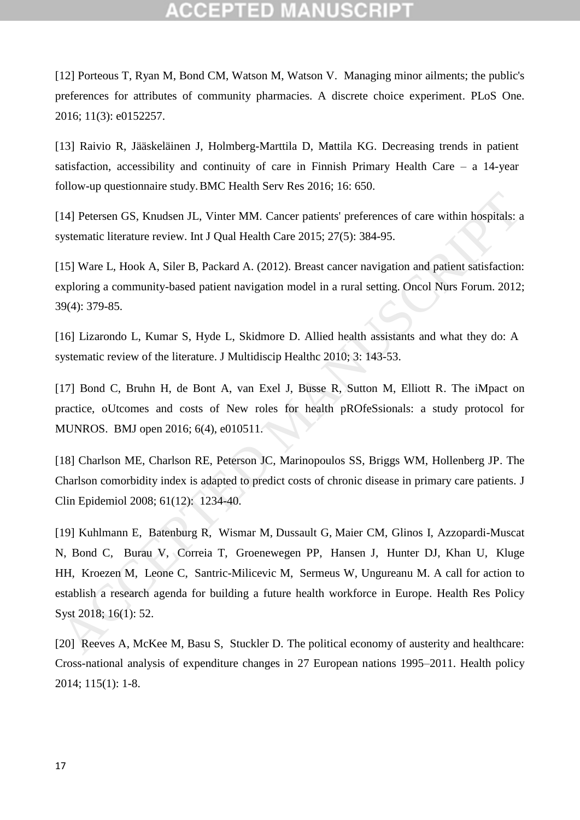[12] Porteous T, Ryan M, Bond CM, Watson M, Watson V. Managing minor ailments; the public's preferences for attributes of community pharmacies. A discrete choice experiment. [PLoS One.](https://www.ncbi.nlm.nih.gov/pmc/articles/PMC4816534/) 2016; 11(3): e0152257.

[13] Raivio R, Jääskeläinen J, Holmberg-Marttila D, Mattila KG. Decreasing trends in patient satisfaction, accessibility and continuity of care in Finnish Primary Health Care – a 14-year follow-up questionnaire study.BMC Health Serv Res 2016; 16: 650.

[14] Petersen GS, Knudsen JL, Vinter MM. Cancer patients' preferences of care within hospitals: a systematic literature review. Int J Qual Health Care 2015; 27(5): 384-95.

[15] Ware L, Hook A, Siler B, Packard A. (2012). Breast cancer navigation and patient satisfaction: exploring a community-based patient navigation model in a rural setting. Oncol Nurs Forum. 2012; 39(4): 379-85.

[16] Lizarondo L, Kumar S, Hyde L, Skidmore D. Allied health assistants and what they do: A systematic review of the literature. J Multidiscip Healthc 2010; 3: 143-53.

[17] Bond C, Bruhn H, de Bont A, van Exel J, Busse R, Sutton M, Elliott R. The iMpact on practice, oUtcomes and costs of New roles for health pROfeSsionals: a study protocol for MUNROS. BMJ open 2016; 6(4), e010511.

[18] Charlson ME, Charlson RE, Peterson JC, Marinopoulos SS, Briggs WM, Hollenberg JP. The Charlson comorbidity index is adapted to predict costs of chronic disease in primary care patients. J Clin Epidemiol 2008; 61(12): 1234-40.

[19] Kuhlmann E, Batenburg R, Wismar M, Dussault G, Maier CM, Glinos I, Azzopardi-Muscat N, Bond C, Burau V, Correia T, Groenewegen PP, Hansen J, Hunter DJ, Khan U, Kluge HH, Kroezen M, Leone C, Santric-Milicevic M, Sermeus W, Ungureanu M. A call for action to establish a research agenda for building a future health workforce in Europe. Health Res Policy Syst 2018; 16(1): 52. 14) Petersen GS, Knudsen J.L, Vinter MM. Cancer patients' preferences of care within hospitals: a<br>systematic literature review. Int J Qual Health Care 2015; 27(5): 384-95.<br>
15) Ware L, Hook [A](https://www.ncbi.nlm.nih.gov/pubmed/29925432), Siler B, Packard A. (2012). B

[20] Reeves A, McKee M, Basu S, Stuckler D. The political economy of austerity and healthcare: Cross-national analysis of expenditure changes in 27 European nations 1995–2011. Health policy 2014; 115(1): 1-8.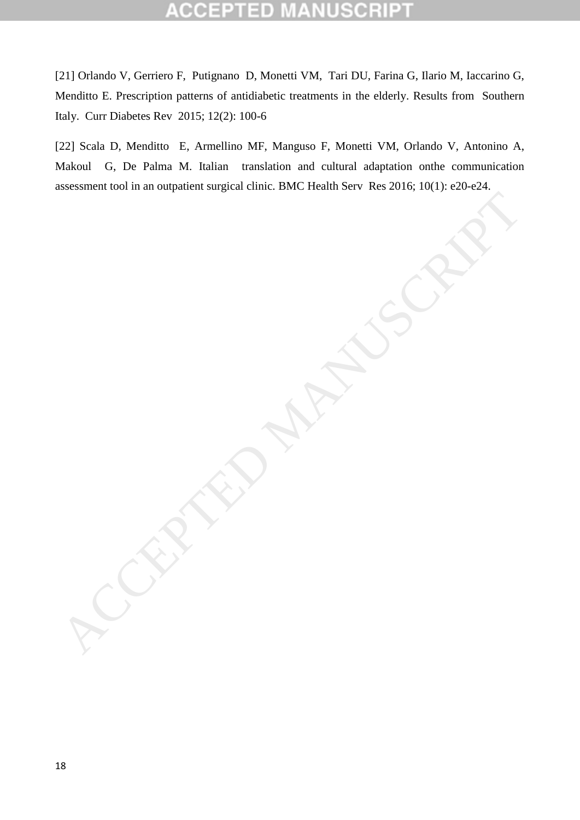# ΞD

[21] Orlando V, Gerriero F, Putignano D, Monetti VM, Tari DU, Farina G, Ilario M, Iaccarino G, Menditto E. Prescription patterns of antidiabetic treatments in the elderly. Results from Southern Italy. Curr Diabetes Rev 2015; 12(2): 100-6

[22] Scala D, Menditto E, Armellino MF, Manguso F, Monetti VM, Orlando V, Antonino A, Makoul G, De Palma M. Italian translation and cultural adaptation onthe communication assessment tool in an outpatient surgical clinic. BMC Health Serv Res 2016; 10(1): e20-e24. ACCEPTED MANUSCRIPT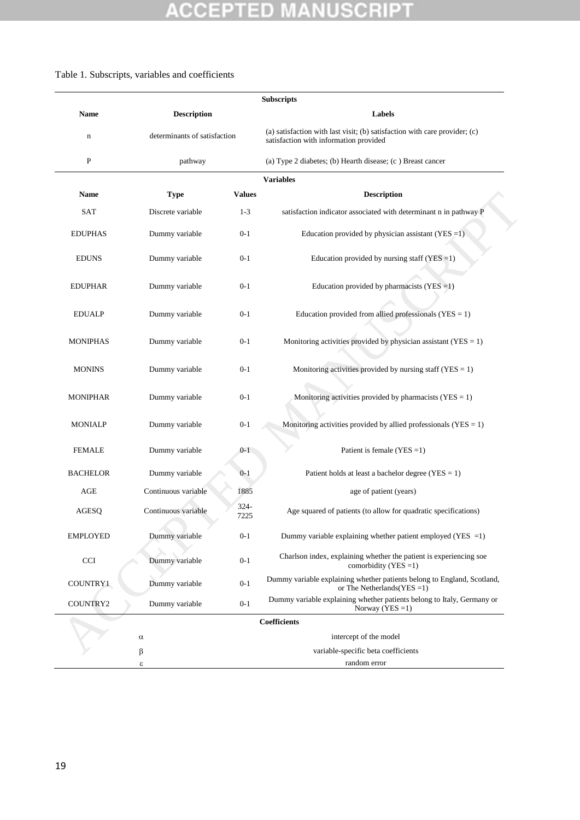## Table 1. Subscripts, variables and coefficients

|                 |                              |               | <b>Subscripts</b>                                                                                                    |
|-----------------|------------------------------|---------------|----------------------------------------------------------------------------------------------------------------------|
| <b>Name</b>     | <b>Description</b>           |               | Labels                                                                                                               |
| $\mathbf n$     | determinants of satisfaction |               | (a) satisfaction with last visit; (b) satisfaction with care provider; (c)<br>satisfaction with information provided |
| P               | pathway                      |               | (a) Type 2 diabetes; (b) Hearth disease; (c) Breast cancer                                                           |
|                 |                              |               | <b>Variables</b>                                                                                                     |
| <b>Name</b>     | <b>Type</b>                  | <b>Values</b> | <b>Description</b>                                                                                                   |
| <b>SAT</b>      | Discrete variable            | $1 - 3$       | satisfaction indicator associated with determinant n in pathway P                                                    |
| <b>EDUPHAS</b>  | Dummy variable               | $0 - 1$       | Education provided by physician assistant (YES = 1)                                                                  |
| <b>EDUNS</b>    | Dummy variable               | $0 - 1$       | Education provided by nursing staff (YES $=1$ )                                                                      |
| <b>EDUPHAR</b>  | Dummy variable               | $0 - 1$       | Education provided by pharmacists $(YES = 1)$                                                                        |
| <b>EDUALP</b>   | Dummy variable               | $0 - 1$       | Education provided from allied professionals ( $YES = 1$ )                                                           |
| <b>MONIPHAS</b> | Dummy variable               | $0 - 1$       | Monitoring activities provided by physician assistant ( $YES = 1$ )                                                  |
| <b>MONINS</b>   | Dummy variable               | $0 - 1$       | Monitoring activities provided by nursing staff ( $YES = 1$ )                                                        |
| <b>MONIPHAR</b> | Dummy variable               | $0 - 1$       | Monitoring activities provided by pharmacists ( $YES = 1$ )                                                          |
| <b>MONIALP</b>  | Dummy variable               | $0 - 1$       | Monitoring activities provided by allied professionals ( $YES = 1$ )                                                 |
| <b>FEMALE</b>   | Dummy variable               | $0 - 1$       | Patient is female (YES = 1)                                                                                          |
| <b>BACHELOR</b> | Dummy variable               | $0 - 1$       | Patient holds at least a bachelor degree ( $YES = 1$ )                                                               |
| AGE             | Continuous variable          | 1885          | age of patient (years)                                                                                               |
| <b>AGESQ</b>    | Continuous variable          | 324-<br>7225  | Age squared of patients (to allow for quadratic specifications)                                                      |
| <b>EMPLOYED</b> | Dummy variable               | $0 - 1$       | Dummy variable explaining whether patient employed (YES $=1$ )                                                       |
| <b>CCI</b>      | Dummy variable               | $0 - 1$       | Charlson index, explaining whether the patient is experiencing soe<br>comorbidity (YES = 1)                          |
| COUNTRY1        | Dummy variable               | $0 - 1$       | Dummy variable explaining whether patients belong to England, Scotland,<br>or The Netherlands (YES = 1)              |
| COUNTRY2        | Dummy variable               | $0 - 1$       | Dummy variable explaining whether patients belong to Italy, Germany or<br>Norway (YES $=1$ )                         |
|                 |                              |               | Coefficients                                                                                                         |
|                 | $\alpha$                     |               | intercept of the model                                                                                               |
|                 | $\beta$                      |               | variable-specific beta coefficients                                                                                  |
|                 | ε                            |               | random error                                                                                                         |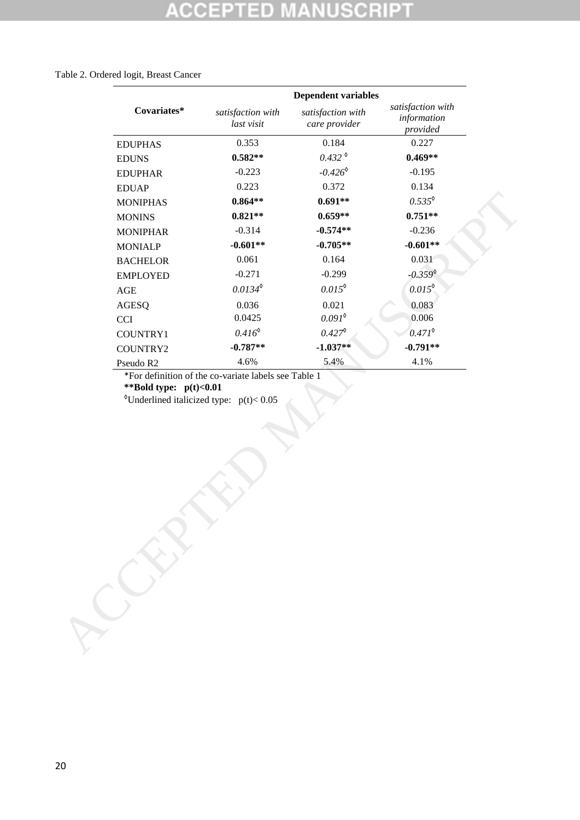## Table 2. Ordered logit, Breast Cancer

| satisfaction with<br>Covariates*<br>satisfaction with<br>satisfaction with<br>information<br>last visit<br>care provider<br>provided<br>0.353<br>0.184<br>0.227<br><b>EDUPHAS</b><br>$0.432^{\circ}$<br>$0.469**$<br>$0.582**$<br><b>EDUNS</b><br>$-0.426^{\circ}$<br>$-0.223$<br>$-0.195$<br><b>EDUPHAR</b><br>0.372<br>0.223<br>0.134<br><b>EDUAP</b><br>$0.535^{\circ}$<br>$0.691**$<br>$0.864**$<br><b>MONIPHAS</b><br>$0.751**$<br>$0.821**$<br>$0.659**$<br><b>MONINS</b><br>$-0.314$<br>$-0.236$<br>$-0.574**$<br><b>MONIPHAR</b><br>$-0.601**$<br>$-0.705**$<br>$-0.601**$<br><b>MONIALP</b><br>0.061<br>0.164<br>0.031<br><b>BACHELOR</b><br>$-0.359^{\circ}$<br>$-0.271$<br>$-0.299$<br><b>EMPLOYED</b><br>$0.015^{\circ}$<br>$0.0134^{\circ}$<br>$0.015^{\circ}$<br>$\rm{AGE}$<br>0.083<br>0.036<br>0.021<br><b>AGESQ</b><br>$0.091^{\circ}$<br>0.0425<br>0.006<br><b>CCI</b><br>$0.416^{\circ}$<br>$0.471^{\circ}$<br>$0.427^{\circ}$<br>COUNTRY1<br>$-0.787**$<br>$-0.791**$<br>$-1.037**$<br>COUNTRY2<br>4.6%<br>5.4%<br>4.1%<br>Pseudo R2<br>*For definition of the co-variate labels see Table 1<br>**Bold type: $p(t) < 0.01$<br><sup>o</sup> Underlined italicized type: $p(t) < 0.05$ |  | <b>Dependent variables</b> |  |
|----------------------------------------------------------------------------------------------------------------------------------------------------------------------------------------------------------------------------------------------------------------------------------------------------------------------------------------------------------------------------------------------------------------------------------------------------------------------------------------------------------------------------------------------------------------------------------------------------------------------------------------------------------------------------------------------------------------------------------------------------------------------------------------------------------------------------------------------------------------------------------------------------------------------------------------------------------------------------------------------------------------------------------------------------------------------------------------------------------------------------------------------------------------------------------------------------------|--|----------------------------|--|
|                                                                                                                                                                                                                                                                                                                                                                                                                                                                                                                                                                                                                                                                                                                                                                                                                                                                                                                                                                                                                                                                                                                                                                                                          |  |                            |  |
|                                                                                                                                                                                                                                                                                                                                                                                                                                                                                                                                                                                                                                                                                                                                                                                                                                                                                                                                                                                                                                                                                                                                                                                                          |  |                            |  |
|                                                                                                                                                                                                                                                                                                                                                                                                                                                                                                                                                                                                                                                                                                                                                                                                                                                                                                                                                                                                                                                                                                                                                                                                          |  |                            |  |
|                                                                                                                                                                                                                                                                                                                                                                                                                                                                                                                                                                                                                                                                                                                                                                                                                                                                                                                                                                                                                                                                                                                                                                                                          |  |                            |  |
|                                                                                                                                                                                                                                                                                                                                                                                                                                                                                                                                                                                                                                                                                                                                                                                                                                                                                                                                                                                                                                                                                                                                                                                                          |  |                            |  |
|                                                                                                                                                                                                                                                                                                                                                                                                                                                                                                                                                                                                                                                                                                                                                                                                                                                                                                                                                                                                                                                                                                                                                                                                          |  |                            |  |
|                                                                                                                                                                                                                                                                                                                                                                                                                                                                                                                                                                                                                                                                                                                                                                                                                                                                                                                                                                                                                                                                                                                                                                                                          |  |                            |  |
|                                                                                                                                                                                                                                                                                                                                                                                                                                                                                                                                                                                                                                                                                                                                                                                                                                                                                                                                                                                                                                                                                                                                                                                                          |  |                            |  |
|                                                                                                                                                                                                                                                                                                                                                                                                                                                                                                                                                                                                                                                                                                                                                                                                                                                                                                                                                                                                                                                                                                                                                                                                          |  |                            |  |
|                                                                                                                                                                                                                                                                                                                                                                                                                                                                                                                                                                                                                                                                                                                                                                                                                                                                                                                                                                                                                                                                                                                                                                                                          |  |                            |  |
|                                                                                                                                                                                                                                                                                                                                                                                                                                                                                                                                                                                                                                                                                                                                                                                                                                                                                                                                                                                                                                                                                                                                                                                                          |  |                            |  |
|                                                                                                                                                                                                                                                                                                                                                                                                                                                                                                                                                                                                                                                                                                                                                                                                                                                                                                                                                                                                                                                                                                                                                                                                          |  |                            |  |
|                                                                                                                                                                                                                                                                                                                                                                                                                                                                                                                                                                                                                                                                                                                                                                                                                                                                                                                                                                                                                                                                                                                                                                                                          |  |                            |  |
|                                                                                                                                                                                                                                                                                                                                                                                                                                                                                                                                                                                                                                                                                                                                                                                                                                                                                                                                                                                                                                                                                                                                                                                                          |  |                            |  |
|                                                                                                                                                                                                                                                                                                                                                                                                                                                                                                                                                                                                                                                                                                                                                                                                                                                                                                                                                                                                                                                                                                                                                                                                          |  |                            |  |
|                                                                                                                                                                                                                                                                                                                                                                                                                                                                                                                                                                                                                                                                                                                                                                                                                                                                                                                                                                                                                                                                                                                                                                                                          |  |                            |  |
|                                                                                                                                                                                                                                                                                                                                                                                                                                                                                                                                                                                                                                                                                                                                                                                                                                                                                                                                                                                                                                                                                                                                                                                                          |  |                            |  |
|                                                                                                                                                                                                                                                                                                                                                                                                                                                                                                                                                                                                                                                                                                                                                                                                                                                                                                                                                                                                                                                                                                                                                                                                          |  |                            |  |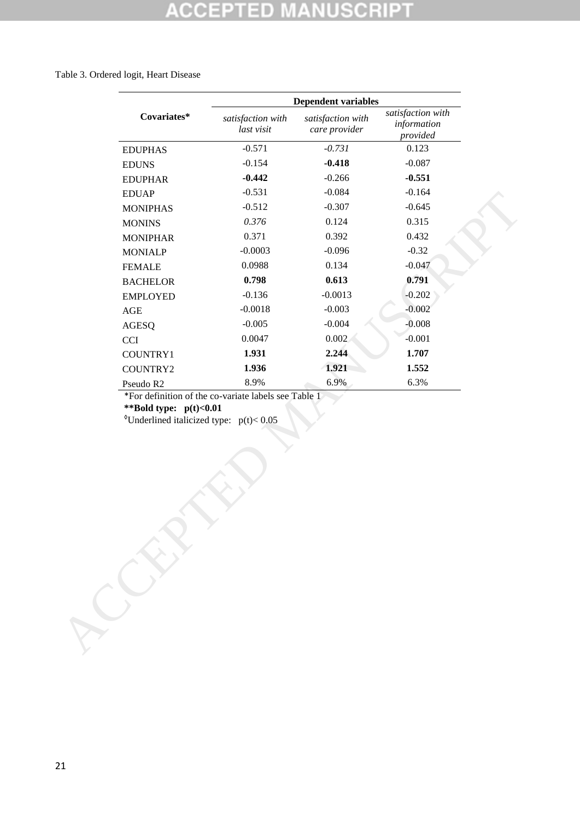#### Table 3. Ordered logit, Heart Disease

| satisfaction with<br>Covariates*<br>satisfaction with<br>satisfaction with<br>information<br>last visit<br>care provider<br>provided<br>$-0.571$<br>$-0.731$<br>0.123<br><b>EDUPHAS</b><br>$-0.154$<br>$-0.418$<br>$-0.087$<br><b>EDUNS</b><br>$-0.266$<br>$-0.551$<br>$-0.442$<br><b>EDUPHAR</b><br>$-0.531$<br>$-0.084$<br>$-0.164$<br><b>EDUAP</b><br>$-0.512$<br>$-0.307$<br>$-0.645$<br><b>MONIPHAS</b><br>0.376<br>0.315<br>0.124<br><b>MONINS</b><br>0.371<br>0.392<br>0.432<br><b>MONIPHAR</b><br>$-0.0003$<br>$-0.096$<br>$-0.32$<br><b>MONIALP</b><br>0.0988<br>0.134<br>$-0.047$<br><b>FEMALE</b><br>0.613<br>0.798<br>0.791<br><b>BACHELOR</b><br>$-0.0013$<br>$-0.202$<br>$-0.136$<br><b>EMPLOYED</b><br>$-0.002$<br>$-0.0018$<br>$-0.003$<br>$\mathbf{AGE}$<br>$-0.008$<br>$-0.005$<br>$-0.004$<br>AGESQ<br>$-0.001$<br>0.0047<br>0.002<br><b>CCI</b><br>1.931<br>2.244<br>1.707<br>COUNTRY1<br>1.936<br>1.921<br>1.552<br>COUNTRY2<br>6.9%<br>6.3%<br>8.9%<br>Pseudo R2<br>*For definition of the co-variate labels see Table 1<br>**Bold type: $p(t) < 0.01$<br><sup>o</sup> Underlined italicized type: $p(t) < 0.05$ |
|----------------------------------------------------------------------------------------------------------------------------------------------------------------------------------------------------------------------------------------------------------------------------------------------------------------------------------------------------------------------------------------------------------------------------------------------------------------------------------------------------------------------------------------------------------------------------------------------------------------------------------------------------------------------------------------------------------------------------------------------------------------------------------------------------------------------------------------------------------------------------------------------------------------------------------------------------------------------------------------------------------------------------------------------------------------------------------------------------------------------------------------|
|                                                                                                                                                                                                                                                                                                                                                                                                                                                                                                                                                                                                                                                                                                                                                                                                                                                                                                                                                                                                                                                                                                                                        |
|                                                                                                                                                                                                                                                                                                                                                                                                                                                                                                                                                                                                                                                                                                                                                                                                                                                                                                                                                                                                                                                                                                                                        |
|                                                                                                                                                                                                                                                                                                                                                                                                                                                                                                                                                                                                                                                                                                                                                                                                                                                                                                                                                                                                                                                                                                                                        |
|                                                                                                                                                                                                                                                                                                                                                                                                                                                                                                                                                                                                                                                                                                                                                                                                                                                                                                                                                                                                                                                                                                                                        |
|                                                                                                                                                                                                                                                                                                                                                                                                                                                                                                                                                                                                                                                                                                                                                                                                                                                                                                                                                                                                                                                                                                                                        |
|                                                                                                                                                                                                                                                                                                                                                                                                                                                                                                                                                                                                                                                                                                                                                                                                                                                                                                                                                                                                                                                                                                                                        |
|                                                                                                                                                                                                                                                                                                                                                                                                                                                                                                                                                                                                                                                                                                                                                                                                                                                                                                                                                                                                                                                                                                                                        |
|                                                                                                                                                                                                                                                                                                                                                                                                                                                                                                                                                                                                                                                                                                                                                                                                                                                                                                                                                                                                                                                                                                                                        |
|                                                                                                                                                                                                                                                                                                                                                                                                                                                                                                                                                                                                                                                                                                                                                                                                                                                                                                                                                                                                                                                                                                                                        |
|                                                                                                                                                                                                                                                                                                                                                                                                                                                                                                                                                                                                                                                                                                                                                                                                                                                                                                                                                                                                                                                                                                                                        |
|                                                                                                                                                                                                                                                                                                                                                                                                                                                                                                                                                                                                                                                                                                                                                                                                                                                                                                                                                                                                                                                                                                                                        |
|                                                                                                                                                                                                                                                                                                                                                                                                                                                                                                                                                                                                                                                                                                                                                                                                                                                                                                                                                                                                                                                                                                                                        |
|                                                                                                                                                                                                                                                                                                                                                                                                                                                                                                                                                                                                                                                                                                                                                                                                                                                                                                                                                                                                                                                                                                                                        |
|                                                                                                                                                                                                                                                                                                                                                                                                                                                                                                                                                                                                                                                                                                                                                                                                                                                                                                                                                                                                                                                                                                                                        |
|                                                                                                                                                                                                                                                                                                                                                                                                                                                                                                                                                                                                                                                                                                                                                                                                                                                                                                                                                                                                                                                                                                                                        |
|                                                                                                                                                                                                                                                                                                                                                                                                                                                                                                                                                                                                                                                                                                                                                                                                                                                                                                                                                                                                                                                                                                                                        |
|                                                                                                                                                                                                                                                                                                                                                                                                                                                                                                                                                                                                                                                                                                                                                                                                                                                                                                                                                                                                                                                                                                                                        |
|                                                                                                                                                                                                                                                                                                                                                                                                                                                                                                                                                                                                                                                                                                                                                                                                                                                                                                                                                                                                                                                                                                                                        |
|                                                                                                                                                                                                                                                                                                                                                                                                                                                                                                                                                                                                                                                                                                                                                                                                                                                                                                                                                                                                                                                                                                                                        |